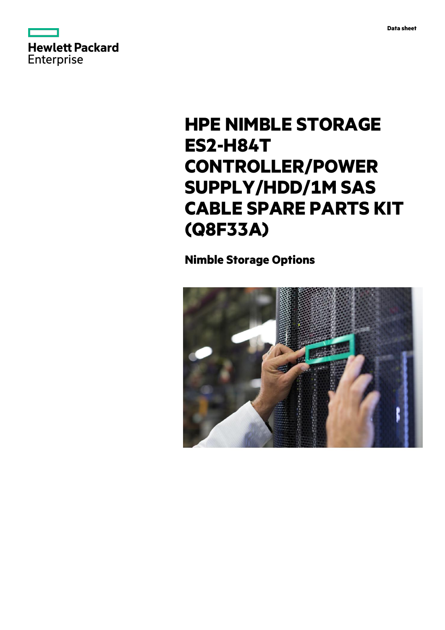



# **HPE NIMBLE STORAGE ES2-H84T CONTROLLER/POWER SUPPLY/HDD/1M SAS CABLE SPARE PARTS KIT (Q8F33A)**

# **Nimble Storage Options**